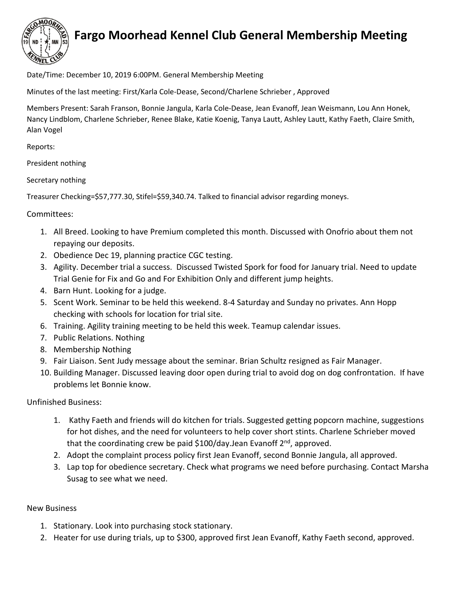

## **Fargo Moorhead Kennel Club General Membership Meeting**

Date/Time: December 10, 2019 6:00PM. General Membership Meeting

Minutes of the last meeting: First/Karla Cole-Dease, Second/Charlene Schrieber , Approved

Members Present: Sarah Franson, Bonnie Jangula, Karla Cole-Dease, Jean Evanoff, Jean Weismann, Lou Ann Honek, Nancy Lindblom, Charlene Schrieber, Renee Blake, Katie Koenig, Tanya Lautt, Ashley Lautt, Kathy Faeth, Claire Smith, Alan Vogel

Reports:

President nothing

Secretary nothing

Treasurer Checking=\$57,777.30, Stifel=\$59,340.74. Talked to financial advisor regarding moneys.

## Committees:

- 1. All Breed. Looking to have Premium completed this month. Discussed with Onofrio about them not repaying our deposits.
- 2. Obedience Dec 19, planning practice CGC testing.
- 3. Agility. December trial a success. Discussed Twisted Spork for food for January trial. Need to update Trial Genie for Fix and Go and For Exhibition Only and different jump heights.
- 4. Barn Hunt. Looking for a judge.
- 5. Scent Work. Seminar to be held this weekend. 8-4 Saturday and Sunday no privates. Ann Hopp checking with schools for location for trial site.
- 6. Training. Agility training meeting to be held this week. Teamup calendar issues.
- 7. Public Relations. Nothing
- 8. Membership Nothing
- 9. Fair Liaison. Sent Judy message about the seminar. Brian Schultz resigned as Fair Manager.
- 10. Building Manager. Discussed leaving door open during trial to avoid dog on dog confrontation. If have problems let Bonnie know.

Unfinished Business:

- 1. Kathy Faeth and friends will do kitchen for trials. Suggested getting popcorn machine, suggestions for hot dishes, and the need for volunteers to help cover short stints. Charlene Schrieber moved that the coordinating crew be paid  $$100$ /day.Jean Evanoff  $2<sup>nd</sup>$ , approved.
- 2. Adopt the complaint process policy first Jean Evanoff, second Bonnie Jangula, all approved.
- 3. Lap top for obedience secretary. Check what programs we need before purchasing. Contact Marsha Susag to see what we need.

## New Business

- 1. Stationary. Look into purchasing stock stationary.
- 2. Heater for use during trials, up to \$300, approved first Jean Evanoff, Kathy Faeth second, approved.